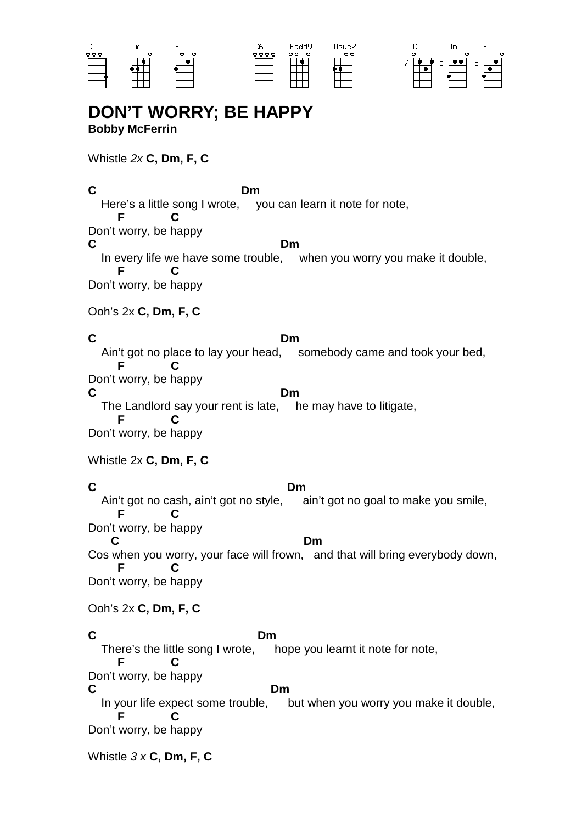

## **DON'T WORRY; BE HAPPY Bobby McFerrin**

Whistle 2x **C, Dm, F, C**

**C Dm**  Here's a little song I wrote, you can learn it note for note,  **F C**  Don't worry, be happy **C Dm**  In every life we have some trouble, when you worry you make it double,  **F C**  Don't worry, be happy

Ooh's 2x **C, Dm, F, C**

**C Dm**  Ain't got no place to lay your head, somebody came and took your bed,  $\mathsf{F}$ Don't worry, be happy

**C Dm** 

The Landlord say your rent is late, he may have to litigate,

 **F C**  Don't worry, be happy

Whistle 2x **C, Dm, F, C**

**C Dm**  Ain't got no cash, ain't got no style, ain't got no goal to make you smile,  **F C**  Don't worry, be happy **C** Dm Cos when you worry, your face will frown, and that will bring everybody down,  **F C**  Don't worry, be happy

Ooh's 2x **C, Dm, F, C**

**C Dm**  There's the little song I wrote, hope you learnt it note for note,  **F C**  Don't worry, be happy **C Dm**  In your life expect some trouble, but when you worry you make it double,  **F C**  Don't worry, be happy

Whistle 3 x **C, Dm, F, C**